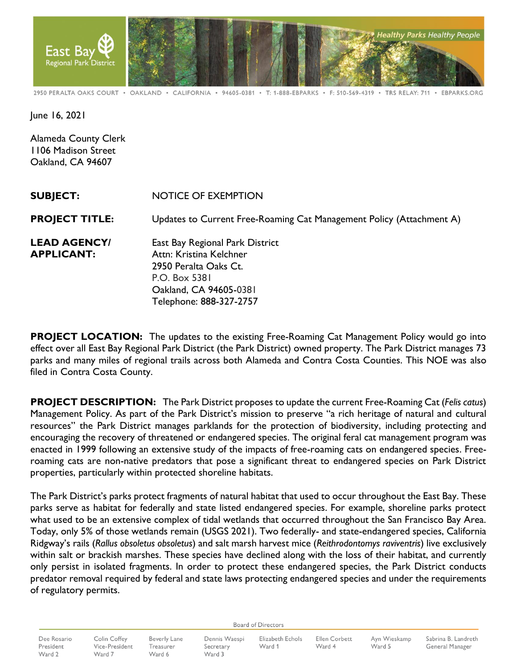

2950 PERALTA OAKS COURT · OAKLAND · CALIFORNIA · 94605-0381 · T: 1-888-EBPARKS · F: 510-569-4319 · TRS RELAY: 711 · EBPARKS.ORG

June 16, 2021

Alameda County Clerk 1106 Madison Street Oakland, CA 94607

| <b>SUBJECT:</b>                          | <b>NOTICE OF EXEMPTION</b>                                                                                                                                |
|------------------------------------------|-----------------------------------------------------------------------------------------------------------------------------------------------------------|
| <b>PROJECT TITLE:</b>                    | Updates to Current Free-Roaming Cat Management Policy (Attachment A)                                                                                      |
| <b>LEAD AGENCY/</b><br><b>APPLICANT:</b> | East Bay Regional Park District<br>Attn: Kristina Kelchner<br>2950 Peralta Oaks Ct.<br>P.O. Box 5381<br>Oakland, CA 94605-0381<br>Telephone: 888-327-2757 |

**PROJECT LOCATION:** The updates to the existing Free-Roaming Cat Management Policy would go into effect over all East Bay Regional Park District (the Park District) owned property. The Park District manages 73 parks and many miles of regional trails across both Alameda and Contra Costa Counties. This NOE was also filed in Contra Costa County.

**PROJECT DESCRIPTION:** The Park District proposes to update the current Free-Roaming Cat (*Felis catus*) Management Policy. As part of the Park District's mission to preserve "a rich heritage of natural and cultural resources" the Park District manages parklands for the protection of biodiversity, including protecting and encouraging the recovery of threatened or endangered species. The original feral cat management program was enacted in 1999 following an extensive study of the impacts of free-roaming cats on endangered species. Freeroaming cats are non-native predators that pose a significant threat to endangered species on Park District properties, particularly within protected shoreline habitats.

The Park District's parks protect fragments of natural habitat that used to occur throughout the East Bay. These parks serve as habitat for federally and state listed endangered species. For example, shoreline parks protect what used to be an extensive complex of tidal wetlands that occurred throughout the San Francisco Bay Area. Today, only 5% of those wetlands remain (USGS 2021). Two federally- and state-endangered species, California Ridgway's rails (*Rallus obsoletus obsoletus*) and salt marsh harvest mice (*Reithrodontomys raviventris*) live exclusively within salt or brackish marshes. These species have declined along with the loss of their habitat, and currently only persist in isolated fragments. In order to protect these endangered species, the Park District conducts predator removal required by federal and state laws protecting endangered species and under the requirements of regulatory permits.

**Board of Directors** 

Dee Rosario President Ward 2

Colin Coffey **Beverly Lane** Vice-President Treasurer Ward 7 Ward 6

Dennis Waespi Secretary Ward 3

Elizabeth Echols Ward 1

Ellen Corbett Ward 4

Ayn Wieskamp Ward 5

Sabrina B. Landreth General Manager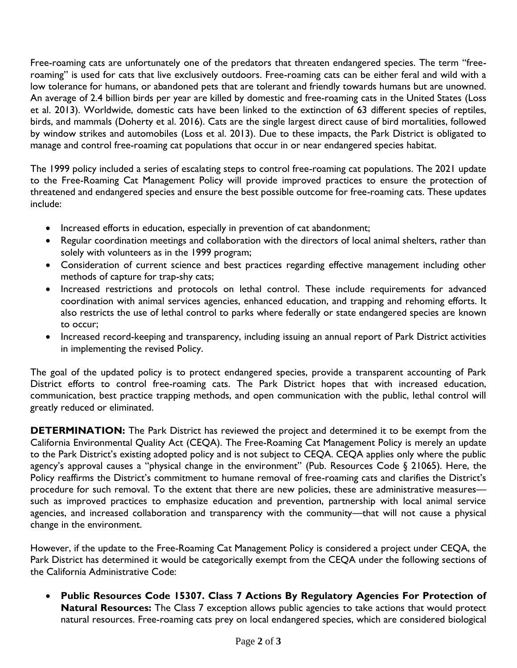Free-roaming cats are unfortunately one of the predators that threaten endangered species. The term "freeroct canning that in a time of the exclusively outdoors. Free-roaming cats can be either feral and wild with a low tolerance for humans, or abandoned pets that are tolerant and friendly towards humans but are unowned. An average of 2.4 billion birds per year are killed by domestic and free-roaming cats in the United States (Loss et al. 2013). Worldwide, domestic cats have been linked to the extinction of 63 different species of reptiles, birds, and mammals (Doherty et al. 2016). Cats are the single largest direct cause of bird mortalities, followed by window strikes and automobiles (Loss et al. 2013). Due to these impacts, the Park District is obligated to manage and control free-roaming cat populations that occur in or near endangered species habitat.

The 1999 policy included a series of escalating steps to control free-roaming cat populations. The 2021 update to the Free-Roaming Cat Management Policy will provide improved practices to ensure the protection of threatened and endangered species and ensure the best possible outcome for free-roaming cats. These updates include:

- Increased efforts in education, especially in prevention of cat abandonment;
- Regular coordination meetings and collaboration with the directors of local animal shelters, rather than solely with volunteers as in the 1999 program;
- Consideration of current science and best practices regarding effective management including other methods of capture for trap-shy cats;
- Increased restrictions and protocols on lethal control. These include requirements for advanced coordination with animal services agencies, enhanced education, and trapping and rehoming efforts. It also restricts the use of lethal control to parks where federally or state endangered species are known to occur;
- Increased record-keeping and transparency, including issuing an annual report of Park District activities in implementing the revised Policy.

The goal of the updated policy is to protect endangered species, provide a transparent accounting of Park District efforts to control free-roaming cats. The Park District hopes that with increased education, communication, best practice trapping methods, and open communication with the public, lethal control will greatly reduced or eliminated.

**DETERMINATION:** The Park District has reviewed the project and determined it to be exempt from the California Environmental Quality Act (CEQA). The Free-Roaming Cat Management Policy is merely an update to the Park District's existing adopted policy and is not subject to CEQA. CEQA applies only where the public agency's approval causes a "physical change in the environment" (Pub. Resources Code § 21065). Here, the Policy reaffirms the District's commitment to humane removal of free-roaming cats and clarifies the District's procedure for such removal. To the extent that there are new policies, these are administrative measures such as improved practices to emphasize education and prevention, partnership with local animal service agencies, and increased collaboration and transparency with the community—that will not cause a physical change in the environment.

However, if the update to the Free-Roaming Cat Management Policy is considered a project under CEQA, the Park District has determined it would be categorically exempt from the CEQA under the following sections of the California Administrative Code:

• **Public Resources Code 15307. Class 7 Actions By Regulatory Agencies For Protection of Natural Resources:** The Class 7 exception allows public agencies to take actions that would protect natural resources. Free-roaming cats prey on local endangered species, which are considered biological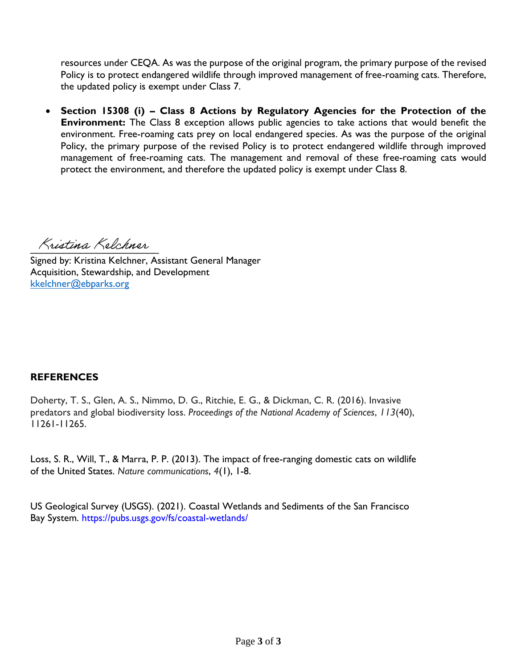resources under CEQA. As was the purpose of the original program, the primary purpose of the revised Policy is to protect endangered wildlife through improved management of free-roaming cats. Therefore, the updated policy is exempt under Class 7.

• **Section 15308 (i) – Class 8 Actions by Regulatory Agencies for the Protection of the Environment:** The Class 8 exception allows public agencies to take actions that would benefit the environment. Free-roaming cats prey on local endangered species. As was the purpose of the original Policy, the primary purpose of the revised Policy is to protect endangered wildlife through improved management of free-roaming cats. The management and removal of these free-roaming cats would protect the environment, and therefore the updated policy is exempt under Class 8.

Kristina Kelchner

Signed by: Kristina Kelchner, Assistant General Manager Acquisition, Stewardship, and Development [kkelchner@ebparks.org](mailto:kkelchner@ebparks.org)

# **REFERENCES**

Doherty, T. S., Glen, A. S., Nimmo, D. G., Ritchie, E. G., & Dickman, C. R. (2016). Invasive predators and global biodiversity loss. *Proceedings of the National Academy of Sciences*, *113*(40), 11261-11265.

Loss, S. R., Will, T., & Marra, P. P. (2013). The impact of free-ranging domestic cats on wildlife of the United States. *Nature communications*, *4*(1), 1-8.

US Geological Survey (USGS). (2021). Coastal Wetlands and Sediments of the San Francisco Bay System. https://pubs.usgs.gov/fs/coastal-wetlands/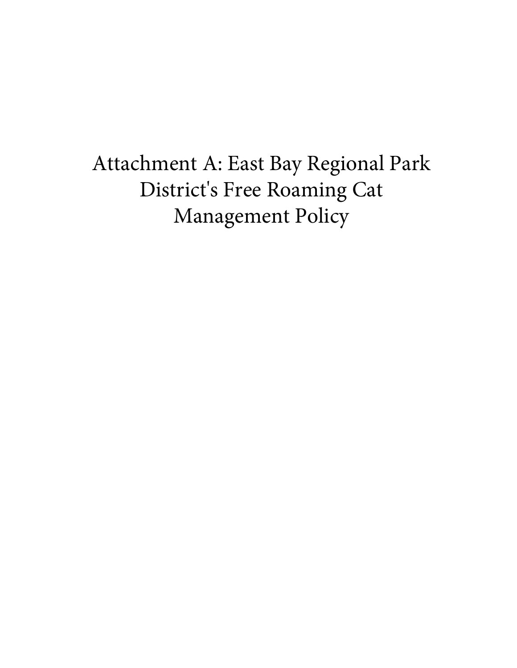Attachment A: East Bay Regional Park District's Free Roaming Cat Management Policy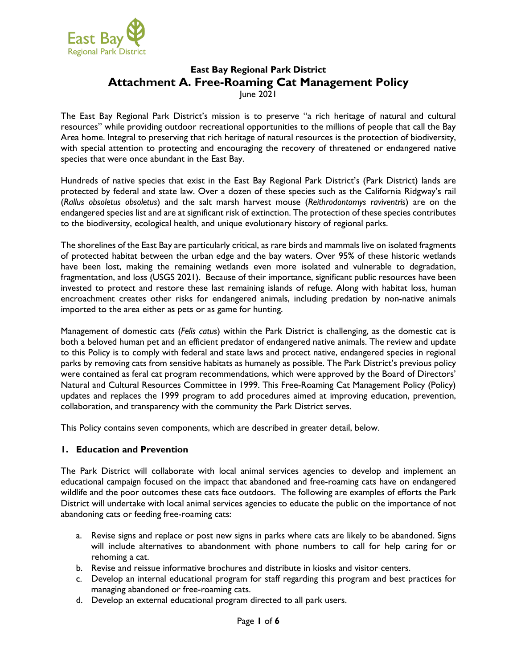

# **East Bay Regional Park District Attachment A. Free-Roaming Cat Management Policy** June 2021

The East Bay Regional Park District's mission is to preserve "a rich heritage of natural and cultural resources" while providing outdoor recreational opportunities to the millions of people that call the Bay Area home. Integral to preserving that rich heritage of natural resources is the protection of biodiversity, with special attention to protecting and encouraging the recovery of threatened or endangered native species that were once abundant in the East Bay.

Hundreds of native species that exist in the East Bay Regional Park District's (Park District) lands are protected by federal and state law. Over a dozen of these species such as the California Ridgway's rail (*Rallus obsoletus obsoletus*) and the salt marsh harvest mouse (*Reithrodontomys raviventris*) are on the endangered species list and are at significant risk of extinction. The protection of these species contributes to the biodiversity, ecological health, and unique evolutionary history of regional parks.

The shorelines of the East Bay are particularly critical, as rare birds and mammals live on isolated fragments of protected habitat between the urban edge and the bay waters. Over 95% of these historic wetlands have been lost, making the remaining wetlands even more isolated and vulnerable to degradation, fragmentation, and loss (USGS 2021). Because of their importance, significant public resources have been invested to protect and restore these last remaining islands of refuge. Along with habitat loss, human encroachment creates other risks for endangered animals, including predation by non-native animals imported to the area either as pets or as game for hunting.

Management of domestic cats (*Felis catus*) within the Park District is challenging, as the domestic cat is both a beloved human pet and an efficient predator of endangered native animals. The review and update to this Policy is to comply with federal and state laws and protect native, endangered species in regional parks by removing cats from sensitive habitats as humanely as possible. The Park District's previous policy were contained as feral cat program recommendations, which were approved by the Board of Directors' Natural and Cultural Resources Committee in 1999. This Free-Roaming Cat Management Policy (Policy) updates and replaces the 1999 program to add procedures aimed at improving education, prevention, collaboration, and transparency with the community the Park District serves.

This Policy contains seven components, which are described in greater detail, below.

#### **1. Education and Prevention**

The Park District will collaborate with local animal services agencies to develop and implement an educational campaign focused on the impact that abandoned and free-roaming cats have on endangered wildlife and the poor outcomes these cats face outdoors. The following are examples of efforts the Park District will undertake with local animal services agencies to educate the public on the importance of not abandoning cats or feeding free-roaming cats:

- a. Revise signs and replace or post new signs in parks where cats are likely to be abandoned. Signs will include alternatives to abandonment with phone numbers to call for help caring for or rehoming a cat.
- b. Revise and reissue informative brochures and distribute in kiosks and visitor centers.
- c. Develop an internal educational program for staff regarding this program and best practices for managing abandoned or free-roaming cats.
- d. Develop an external educational program directed to all park users.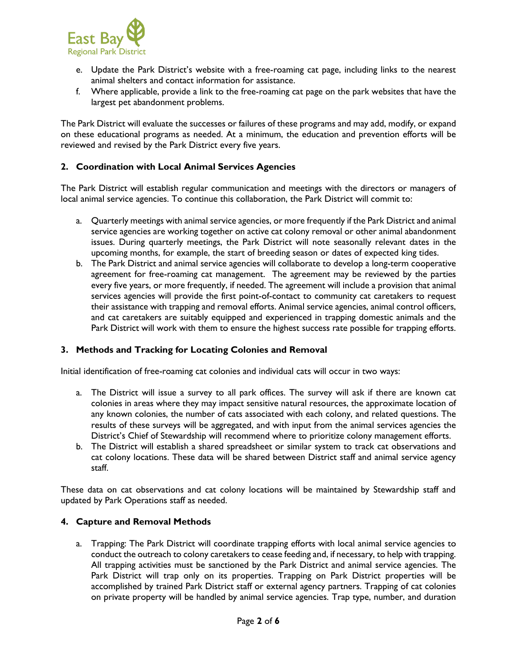

- e. Update the Park District's website with a free-roaming cat page, including links to the nearest animal shelters and contact information for assistance.
- f. Where applicable, provide a link to the free-roaming cat page on the park websites that have the largest pet abandonment problems.

The Park District will evaluate the successes or failures of these programs and may add, modify, or expand on these educational programs as needed. At a minimum, the education and prevention efforts will be reviewed and revised by the Park District every five years.

#### **2. Coordination with Local Animal Services Agencies**

The Park District will establish regular communication and meetings with the directors or managers of local animal service agencies. To continue this collaboration, the Park District will commit to:

- a. Quarterly meetings with animal service agencies, or more frequently if the Park District and animal service agencies are working together on active cat colony removal or other animal abandonment issues. During quarterly meetings, the Park District will note seasonally relevant dates in the upcoming months, for example, the start of breeding season or dates of expected king tides.
- b. The Park District and animal service agencies will collaborate to develop a long-term cooperative agreement for free-roaming cat management. The agreement may be reviewed by the parties every five years, or more frequently, if needed. The agreement will include a provision that animal services agencies will provide the first point-of-contact to community cat caretakers to request their assistance with trapping and removal efforts. Animal service agencies, animal control officers, and cat caretakers are suitably equipped and experienced in trapping domestic animals and the Park District will work with them to ensure the highest success rate possible for trapping efforts.

#### **3. Methods and Tracking for Locating Colonies and Removal**

Initial identification of free-roaming cat colonies and individual cats will occur in two ways:

- a. The District will issue a survey to all park offices. The survey will ask if there are known cat colonies in areas where they may impact sensitive natural resources, the approximate location of any known colonies, the number of cats associated with each colony, and related questions. The results of these surveys will be aggregated, and with input from the animal services agencies the District's Chief of Stewardship will recommend where to prioritize colony management efforts.
- b. The District will establish a shared spreadsheet or similar system to track cat observations and cat colony locations. These data will be shared between District staff and animal service agency staff.

These data on cat observations and cat colony locations will be maintained by Stewardship staff and updated by Park Operations staff as needed.

#### **4. Capture and Removal Methods**

a. Trapping: The Park District will coordinate trapping efforts with local animal service agencies to conduct the outreach to colony caretakers to cease feeding and, if necessary, to help with trapping. All trapping activities must be sanctioned by the Park District and animal service agencies. The Park District will trap only on its properties. Trapping on Park District properties will be accomplished by trained Park District staff or external agency partners. Trapping of cat colonies on private property will be handled by animal service agencies. Trap type, number, and duration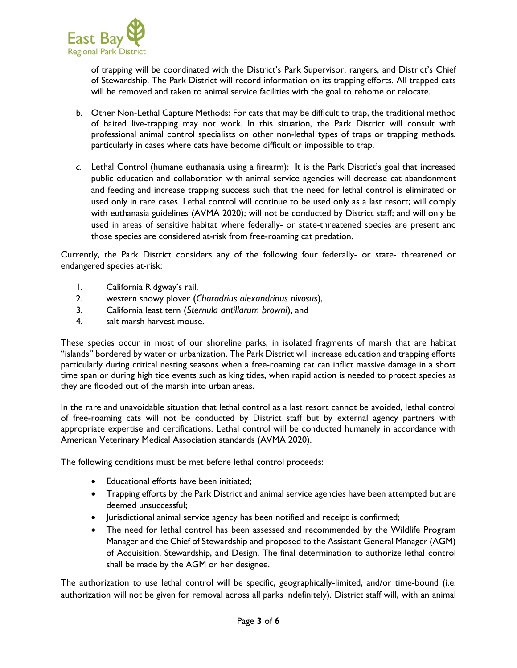

of trapping will be coordinated with the District's Park Supervisor, rangers, and District's Chief of Stewardship. The Park District will record information on its trapping efforts. All trapped cats will be removed and taken to animal service facilities with the goal to rehome or relocate.

- b. Other Non-Lethal Capture Methods: For cats that may be difficult to trap, the traditional method of baited live-trapping may not work. In this situation, the Park District will consult with professional animal control specialists on other non-lethal types of traps or trapping methods, particularly in cases where cats have become difficult or impossible to trap.
- *c.* Lethal Control (humane euthanasia using a firearm): It is the Park District's goal that increased public education and collaboration with animal service agencies will decrease cat abandonment and feeding and increase trapping success such that the need for lethal control is eliminated or used only in rare cases. Lethal control will continue to be used only as a last resort; will comply with euthanasia guidelines (AVMA 2020); will not be conducted by District staff; and will only be used in areas of sensitive habitat where federally- or state-threatened species are present and those species are considered at-risk from free-roaming cat predation.

Currently, the Park District considers any of the following four federally- or state- threatened or endangered species at-risk:

- 1. California Ridgway's rail,
- 2. western snowy plover (*Charadrius alexandrinus nivosus*),
- 3. California least tern (*Sternula antillarum browni*), and
- 4. salt marsh harvest mouse.

These species occur in most of our shoreline parks, in isolated fragments of marsh that are habitat "islands" bordered by water or urbanization. The Park District will increase education and trapping efforts particularly during critical nesting seasons when a free-roaming cat can inflict massive damage in a short time span or during high tide events such as king tides, when rapid action is needed to protect species as they are flooded out of the marsh into urban areas.

In the rare and unavoidable situation that lethal control as a last resort cannot be avoided, lethal control of free-roaming cats will not be conducted by District staff but by external agency partners with appropriate expertise and certifications. Lethal control will be conducted humanely in accordance with American Veterinary Medical Association standards (AVMA 2020).

The following conditions must be met before lethal control proceeds:

- Educational efforts have been initiated;
- Trapping efforts by the Park District and animal service agencies have been attempted but are deemed unsuccessful;
- Jurisdictional animal service agency has been notified and receipt is confirmed;
- The need for lethal control has been assessed and recommended by the Wildlife Program Manager and the Chief of Stewardship and proposed to the Assistant General Manager (AGM) of Acquisition, Stewardship, and Design. The final determination to authorize lethal control shall be made by the AGM or her designee.

The authorization to use lethal control will be specific, geographically-limited, and/or time-bound (i.e. authorization will not be given for removal across all parks indefinitely). District staff will, with an animal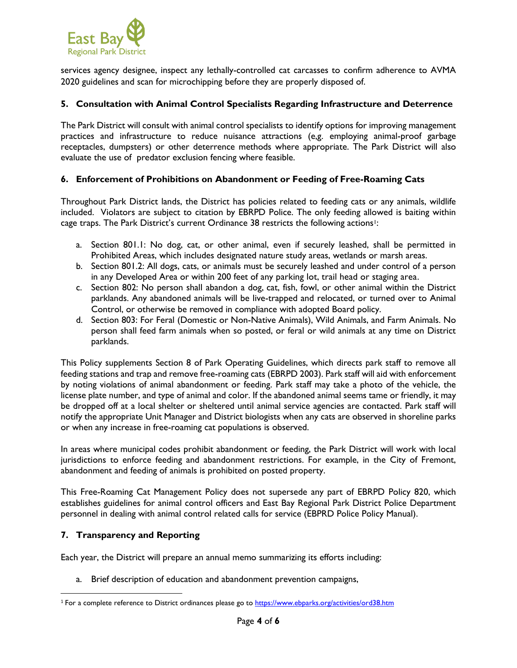

services agency designee, inspect any lethally-controlled cat carcasses to confirm adherence to AVMA 2020 guidelines and scan for microchipping before they are properly disposed of.

#### **5. Consultation with Animal Control Specialists Regarding Infrastructure and Deterrence**

The Park District will consult with animal control specialists to identify options for improving management practices and infrastructure to reduce nuisance attractions (e,g. employing animal-proof garbage receptacles, dumpsters) or other deterrence methods where appropriate. The Park District will also evaluate the use of predator exclusion fencing where feasible.

### **6. Enforcement of Prohibitions on Abandonment or Feeding of Free-Roaming Cats**

Throughout Park District lands, the District has policies related to feeding cats or any animals, wildlife included. Violators are subject to citation by EBRPD Police. The only feeding allowed is baiting within cage traps. The Park District's current Ordinance 38 restricts the following actions!:

- a. Section 801.1: No dog, cat, or other animal, even if securely leashed, shall be permitted in Prohibited Areas, which includes designated nature study areas, wetlands or marsh areas.
- b. Section 801.2: All dogs, cats, or animals must be securely leashed and under control of a person in any Developed Area or within 200 feet of any parking lot, trail head or staging area.
- c. Section 802: No person shall abandon a dog, cat, fish, fowl, or other animal within the District parklands. Any abandoned animals will be live-trapped and relocated, or turned over to Animal Control, or otherwise be removed in compliance with adopted Board policy.
- d. Section 803: For Feral (Domestic or Non-Native Animals), Wild Animals, and Farm Animals. No person shall feed farm animals when so posted, or feral or wild animals at any time on District parklands.

This Policy supplements Section 8 of Park Operating Guidelines, which directs park staff to remove all feeding stations and trap and remove free-roaming cats (EBRPD 2003). Park staff will aid with enforcement by noting violations of animal abandonment or feeding. Park staff may take a photo of the vehicle, the license plate number, and type of animal and color. If the abandoned animal seems tame or friendly, it may be dropped off at a local shelter or sheltered until animal service agencies are contacted. Park staff will notify the appropriate Unit Manager and District biologists when any cats are observed in shoreline parks or when any increase in free-roaming cat populations is observed.

In areas where municipal codes prohibit abandonment or feeding, the Park District will work with local jurisdictions to enforce feeding and abandonment restrictions. For example, in the City of Fremont, abandonment and feeding of animals is prohibited on posted property.

This Free-Roaming Cat Management Policy does not supersede any part of EBRPD Policy 820, which establishes guidelines for animal control officers and East Bay Regional Park District Police Department personnel in dealing with animal control related calls for service (EBPRD Police Policy Manual).

#### **7. Transparency and Reporting**

Each year, the District will prepare an annual memo summarizing its efforts including:

a. Brief description of education and abandonment prevention campaigns,

<sup>&</sup>lt;sup>1</sup> For a complete reference to District ordinances please go to <https://www.ebparks.org/activities/ord38.htm>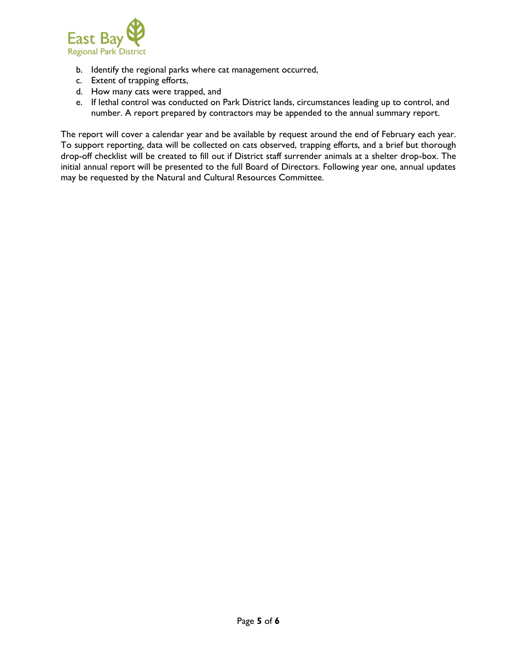

- b. Identify the regional parks where cat management occurred,
- c. Extent of trapping efforts,
- d. How many cats were trapped, and
- e. If lethal control was conducted on Park District lands, circumstances leading up to control, and number. A report prepared by contractors may be appended to the annual summary report.

The report will cover a calendar year and be available by request around the end of February each year. To support reporting, data will be collected on cats observed, trapping efforts, and a brief but thorough drop-off checklist will be created to fill out if District staff surrender animals at a shelter drop-box. The initial annual report will be presented to the full Board of Directors. Following year one, annual updates may be requested by the Natural and Cultural Resources Committee.